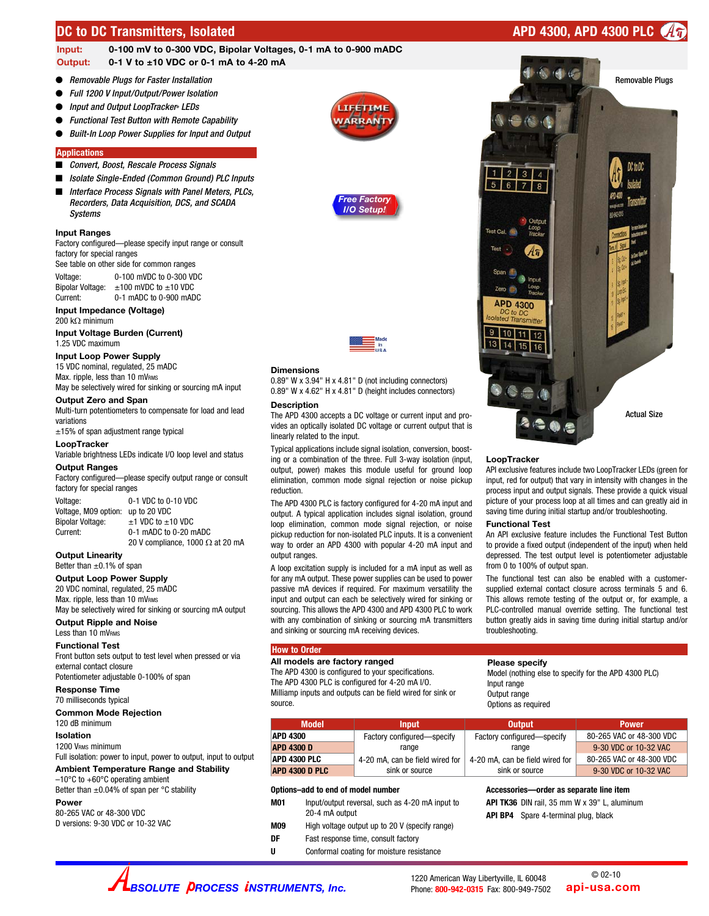## **DC to DC Transmitters, Isolated APD 4300, APD 4300 PLC**



## **Input: 0-100 mV to 0-300 VDC, Bipolar Voltages, 0-1 mA to 0-900 mADC Output: 0-1 V to ±10 VDC or 0-1 mA to 4-20 mA**

- *Removable Plugs for Faster Installation*
- *Full 1200 V Input/Output/Power Isolation*
- *Input and Output LoopTracker® LEDs*
- *Functional Test Button with Remote Capability*
- *Built-In Loop Power Supplies for Input and Output*

#### **Applications**

#### *Convert, Boost, Rescale Process Signals*

- *Isolate Single-Ended (Common Ground) PLC Inputs*
- *Interface Process Signals with Panel Meters, PLCs, Recorders, Data Acquisition, DCS, and SCADA Systems*

#### **Input Ranges**

Factory configured—please specify input range or consult factory for special ranges

See table on other side for common ranges Voltage: 0-100 mVDC to 0-300 VDC<br>Bipolar Voltage: ±100 mVDC to ±10 VDC Bipolar Voltage:  $\pm 100$  mVDC to  $\pm 10$  VDC<br>Current: 0-1 mADC to 0-900 mAD  $0-1$  mADC to  $0-900$  mADC

## **Input Impedance (Voltage)**

200 k $\Omega$  minimum

**Input Voltage Burden (Current)** 1.25 VDC maximum

#### **Input Loop Power Supply**

15 VDC nominal, regulated, 25 mADC Max. ripple, less than 10 mVRMS May be selectively wired for sinking or sourcing mA input

#### **Output Zero and Span**

Multi-turn potentiometers to compensate for load and lead variations

±15% of span adjustment range typical

#### **LoopTracker**

Variable brightness LEDs indicate I/O loop level and status

#### **Output Ranges**

Factory configured—please specify output range or consult factory for special ranges

Voltage: 0-1 VDC to 0-10 VDC Voltage, M09 option: up to 20 VDC<br>Bipolar Voltage:  $\pm 1$  VDC to  $\pm 1$ Bipolar Voltage:  $\pm 1$  VDC to  $\pm 10$  VDC<br>Current: 0-1 mADC to 0-20 m  $0-1$  mADC to  $0-20$  mADC 20 V compliance, 1000  $\Omega$  at 20 mA

#### **Output Linearity**

Better than  $+0.1\%$  of span

**Output Loop Power Supply** 20 VDC nominal, regulated, 25 mADC

Max. ripple, less than 10 mVRMS

May be selectively wired for sinking or sourcing mA output **Output Ripple and Noise**

## Less than 10 mVRMS

**Functional Test** Front button sets output to test level when pressed or via

external contact closure

Potentiometer adjustable 0-100% of span

**Response Time** 70 milliseconds typical

### **Common Mode Rejection**

120 dB minimum

## **Isolation**

1200 VRMS minimum Full isolation: power to input, power to output, input to output

**Ambient Temperature Range and Stability** –10°C to +60°C operating ambient

Better than  $\pm 0.04\%$  of span per °C stability

**Power**

80-265 VAC or 48-300 VDC D versions: 9-30 VDC or 10-32 VAC







#### **Dimensions**

0.89" W x 3.94" H x 4.81" D (not including connectors) 0.89" W x 4.62" H x 4.81" D (height includes connectors)

#### **Description**

The APD 4300 accepts a DC voltage or current input and provides an optically isolated DC voltage or current output that is linearly related to the input.

Typical applications include signal isolation, conversion, boosting or a combination of the three. Full 3-way isolation (input, output, power) makes this module useful for ground loop elimination, common mode signal rejection or noise pickup reduction.

The APD 4300 PLC is factory configured for 4-20 mA input and output. A typical application includes signal isolation, ground loop elimination, common mode signal rejection, or noise pickup reduction for non-isolated PLC inputs. It is a convenient way to order an APD 4300 with popular 4-20 mA input and output ranges.

A loop excitation supply is included for a mA input as well as for any mA output. These power supplies can be used to power passive mA devices if required. For maximum versatility the input and output can each be selectively wired for sinking or sourcing. This allows the APD 4300 and APD 4300 PLC to work with any combination of sinking or sourcing mA transmitters and sinking or sourcing mA receiving devices.

#### **How to Order**

**All models are factory ranged** The APD 4300 is configured to your specifications. The APD 4300 PLC is configured for 4-20 mA I/O. Milliamp inputs and outputs can be field wired for sink or source.

| <b>Model</b>      | <b>Input</b>                    | <b>Output</b>                   | <b>Power</b>             |
|-------------------|---------------------------------|---------------------------------|--------------------------|
| <b>APD 4300</b>   | Factory configured—specify      | Factory configured-specify      | 80-265 VAC or 48-300 VDC |
| <b>APD 4300 D</b> | range                           | range                           | 9-30 VDC or 10-32 VAC    |
| APD 4300 PLC      | 4-20 mA, can be field wired for | 4-20 mA, can be field wired for | 80-265 VAC or 48-300 VDC |
| APD 4300 D PLC    | sink or source                  | sink or source                  | $0.30$ VDC or 10.32 VAC  |

#### **Options–add to end of model number**

| M01 | Input/output reversal, such as 4-20 mA input to<br>20-4 mA output |
|-----|-------------------------------------------------------------------|
| ___ |                                                                   |

- **M09** High voltage output up to 20 V (specify range)
- **DF** Fast response time, consult factory
- **U** Conformal coating for moisture resistance

# Removable Plugs  $1$  | 2 | 3 | 4  $6$  $78$ **APD 4300** 10 11 12  $13 \overline{)14} \overline{)15} \overline{)16}$ Actual Size

#### **LoopTracker**

API exclusive features include two LoopTracker LEDs (green for input, red for output) that vary in intensity with changes in the process input and output signals. These provide a quick visual picture of your process loop at all times and can greatly aid in saving time during initial startup and/or troubleshooting.

#### **Functional Test**

An API exclusive feature includes the Functional Test Button to provide a fixed output (independent of the input) when held depressed. The test output level is potentiometer adjustable from 0 to 100% of output span.

The functional test can also be enabled with a customersupplied external contact closure across terminals 5 and 6. This allows remote testing of the output or, for example, a PLC-controlled manual override setting. The functional test button greatly aids in saving time during initial startup and/or troubleshooting.

#### **Please specify**

Model (nothing else to specify for the APD 4300 PLC) Input range Output range Options as required

| <b>Model</b>   | <b>Input</b>                    | <b>Output</b>                   | <b>Power</b>             |
|----------------|---------------------------------|---------------------------------|--------------------------|
| APD 4300       | Factory configured-specify      | Factory configured-specify      | 80-265 VAC or 48-300 VDC |
| APD 4300 D     | range                           | range                           | 9-30 VDC or 10-32 VAC    |
| APD 4300 PLC   | 4-20 mA, can be field wired for | 4-20 mA, can be field wired for | 80-265 VAC or 48-300 VDC |
| APD 4300 D PLC | sink or source                  | sink or source                  | 9-30 VDC or 10-32 VAC    |

#### **Accessories—order as separate line item**

**API TK36** DIN rail, 35 mm W x 39" L, aluminum **API BP4** Spare 4-terminal plug, black